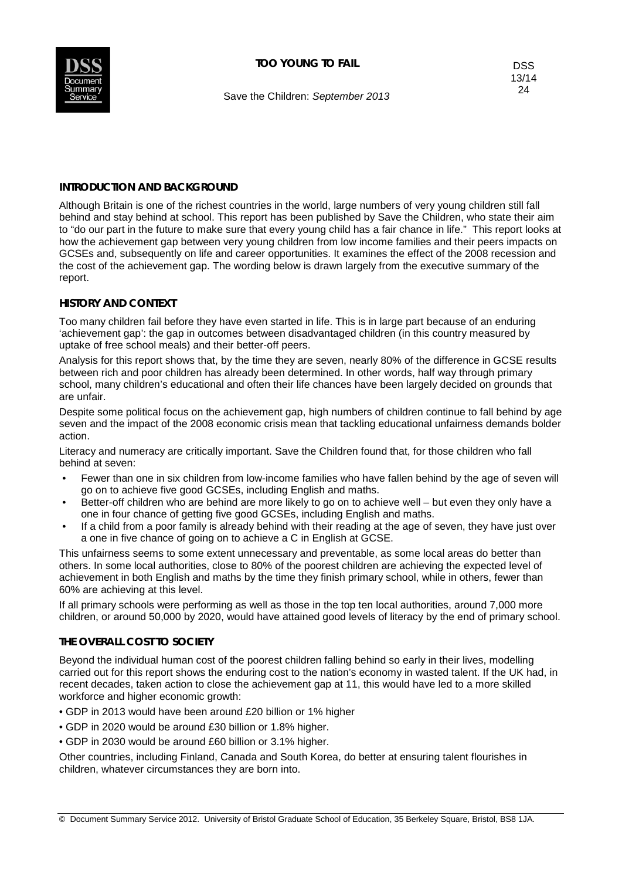

Save the Children: *September 2013*

# **INTRODUCTION AND BACKGROUND**

Although Britain is one of the richest countries in the world, large numbers of very young children still fall behind and stay behind at school. This report has been published by Save the Children, who state their aim to "do our part in the future to make sure that every young child has a fair chance in life." This report looks at how the achievement gap between very young children from low income families and their peers impacts on GCSEs and, subsequently on life and career opportunities. It examines the effect of the 2008 recession and the cost of the achievement gap. The wording below is drawn largely from the executive summary of the report.

## **HISTORY AND CONTEXT**

Too many children fail before they have even started in life. This is in large part because of an enduring 'achievement gap': the gap in outcomes between disadvantaged children (in this country measured by uptake of free school meals) and their better-off peers.

Analysis for this report shows that, by the time they are seven, nearly 80% of the difference in GCSE results between rich and poor children has already been determined. In other words, half way through primary school, many children's educational and often their life chances have been largely decided on grounds that are unfair.

Despite some political focus on the achievement gap, high numbers of children continue to fall behind by age seven and the impact of the 2008 economic crisis mean that tackling educational unfairness demands bolder action.

Literacy and numeracy are critically important. Save the Children found that, for those children who fall behind at seven:

- Fewer than one in six children from low-income families who have fallen behind by the age of seven will go on to achieve five good GCSEs, including English and maths.
- Better-off children who are behind are more likely to go on to achieve well but even they only have a one in four chance of getting five good GCSEs, including English and maths.
- If a child from a poor family is already behind with their reading at the age of seven, they have just over a one in five chance of going on to achieve a C in English at GCSE.

This unfairness seems to some extent unnecessary and preventable, as some local areas do better than others. In some local authorities, close to 80% of the poorest children are achieving the expected level of achievement in both English and maths by the time they finish primary school, while in others, fewer than 60% are achieving at this level.

If all primary schools were performing as well as those in the top ten local authorities, around 7,000 more children, or around 50,000 by 2020, would have attained good levels of literacy by the end of primary school.

## **THE OVERALL COST TO SOCIETY**

Beyond the individual human cost of the poorest children falling behind so early in their lives, modelling carried out for this report shows the enduring cost to the nation's economy in wasted talent. If the UK had, in recent decades, taken action to close the achievement gap at 11, this would have led to a more skilled workforce and higher economic growth:

- GDP in 2013 would have been around £20 billion or 1% higher
- GDP in 2020 would be around £30 billion or 1.8% higher.
- GDP in 2030 would be around £60 billion or 3.1% higher.

Other countries, including Finland, Canada and South Korea, do better at ensuring talent flourishes in children, whatever circumstances they are born into.